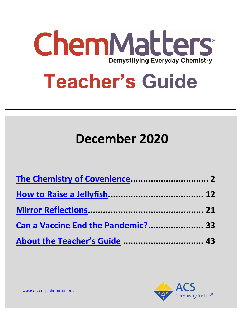

# **Teacher's Guide**

# **December 2020**

| Can a Vaccine End the Pandemic? 33 |  |
|------------------------------------|--|
| About the Teacher's Guide  43      |  |

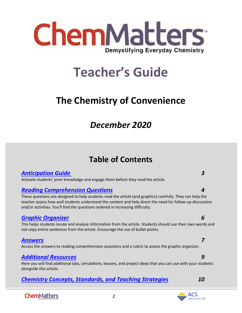

# **Teacher's Guide**

# <span id="page-1-0"></span>**The Chemistry of Convenience**

# *December 2020*

# **Table of Contents**

### *[Anticipation Guide 3](#page-2-0)*

Activate students' prior knowledge and engage them before they read the article.

### *[Reading Comprehension Questions](#page-3-0) 4*

These questions are designed to help students read the article (and graphics) carefully. They can help the teacher assess how well students understand the content and help direct the need for follow-up discussions and/or activities. You'll find the questions ordered in increasing difficulty.

### *[Graphic Organizer](#page-4-0) 6*

This helps students locate and analyze information from the article. Students should use their own words and not copy entire sentences from the article. Encourage the use of bullet points.

### *[Answers](#page-6-0) 7*

Access the answers to reading comprehension questions and a rubric to assess the graphic organizer.

### *[Additional Resources](#page-8-0) 9*

Here you will find additional labs, simulations, lessons, and project ideas that you can use with your students alongside this article.

2

### *[Chemistry Concepts, Standards, and Teaching Strategies](#page-9-0) 10*

**ChemMatters** 

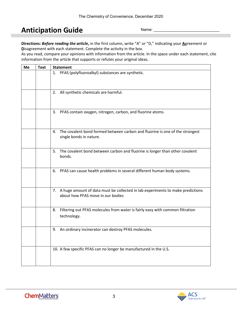# <span id="page-2-0"></span>**Anticipation Guide**

Name:

**Directions:** *Before reading the article***,** in the first column, write "A" or "D," indicating your **A**greement or **D**isagreement with each statement. Complete the activity in the box.

As you read, compare your opinions with information from the article. In the space under each statement, cite information from the article that supports or refutes your original ideas.

| Me | <b>Text</b> | <b>Statement</b>                                                                                                       |
|----|-------------|------------------------------------------------------------------------------------------------------------------------|
|    |             | 1. PFAS (polyfluoroalkyl) substances are synthetic.                                                                    |
|    |             | 2. All synthetic chemicals are harmful.                                                                                |
|    |             | 3. PFAS contain oxygen, nitrogen, carbon, and fluorine atoms.                                                          |
|    |             | The covalent bond formed between carbon and fluorine is one of the strongest<br>4.<br>single bonds in nature.          |
|    |             | The covalent bond between carbon and fluorine is longer than other covalent<br>5.<br>bonds.                            |
|    |             | PFAS can cause health problems in several different human body systems.<br>6.                                          |
|    |             | 7. A huge amount of data must be collected in lab experiments to make predictions<br>about how PFAS move in our bodies |
|    |             | Filtering out PFAS molecules from water is fairly easy with common filtration<br>8.<br>technology.                     |
|    |             | 9. An ordinary incinerator can destroy PFAS molecules.                                                                 |
|    |             | 10. A few specific PFAS can no longer be manufactured in the U.S.                                                      |

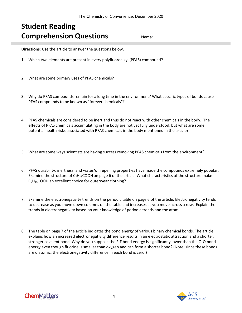# <span id="page-3-0"></span>**Student Reading Comprehension Questions**

Name:

**Directions**: Use the article to answer the questions below.

- 1. Which two elements are present in every polyfluoroalkyl (PFAS) compound?
- 2. What are some primary uses of PFAS chemicals?
- 3. Why do PFAS compounds remain for a long time in the environment? What specific types of bonds cause PFAS compounds to be known as "forever chemicals"?
- 4. PFAS chemicals are considered to be inert and thus do not react with other chemicals in the body. The effects of PFAS chemicals accumulating in the body are not yet fully understood, but what are some potential health risks associated with PFAS chemicals in the body mentioned in the article?
- 5. What are some ways scientists are having success removing PFAS chemicals from the environment?
- 6. PFAS durability, inertness, and water/oil repelling properties have made the compounds extremely popular. Examine the structure of  $C_7H_{15}COOH$  on page 6 of the article. What characteristics of the structure make  $C_7H_{15}$ COOH an excellent choice for outerwear clothing?
- 7. Examine the electronegativity trends on the periodic table on page 6 of the article. Electronegativity tends to decrease as you move down columns on the table and increases as you move across a row. Explain the trends in electronegativity based on your knowledge of periodic trends and the atom.
- 8. The table on page 7 of the article indicates the bond energy of various binary chemical bonds. The article explains how an increased electronegativity difference results in an electrostatic attraction and a shorter, stronger covalent bond. Why do you suppose the F-F bond energy is significantly lower than the O-O bond energy even though fluorine is smaller than oxygen and can form a shorter bond? (Note: since these bonds are diatomic, the electronegativity difference in each bond is zero.)

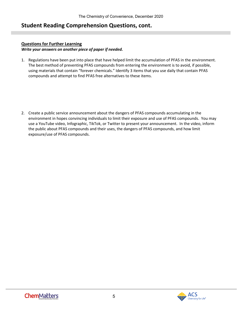### **Student Reading Comprehension Questions, cont.**

### **Questions for Further Learning**

### *Write your answers on another piece of paper if needed.*

1. Regulations have been put into place that have helped limit the accumulation of PFAS in the environment. The best method of preventing PFAS compounds from entering the environment is to avoid, if possible, using materials that contain "forever chemicals." Identify 3 items that you use daily that contain PFAS compounds and attempt to find PFAS free alternatives to these items.

<span id="page-4-0"></span>2. Create a public service announcement about the dangers of PFAS compounds accumulating in the environment in hopes convincing individuals to limit their exposure and use of PFAS compounds. You may use a YouTube video, Infographic, TikTok, or Twitter to present your announcement. In the video, inform the public about PFAS compounds and their uses, the dangers of PFAS compounds, and how limit exposure/use of PFAS compounds.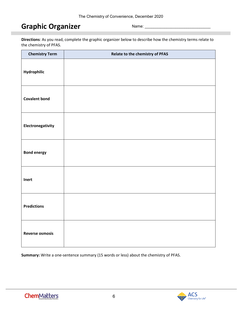# **Graphic Organizer**

Name:

**Directions**: As you read, complete the graphic organizer below to describe how the chemistry terms relate to the chemistry of PFAS.

| <b>Chemistry Term</b>  | Relate to the chemistry of PFAS |
|------------------------|---------------------------------|
| Hydrophilic            |                                 |
| <b>Covalent bond</b>   |                                 |
| Electronegativity      |                                 |
| <b>Bond energy</b>     |                                 |
| Inert                  |                                 |
| <b>Predictions</b>     |                                 |
| <b>Reverse osmosis</b> |                                 |

**Summary:** Write a one-sentence summary (15 words or less) about the chemistry of PFAS.

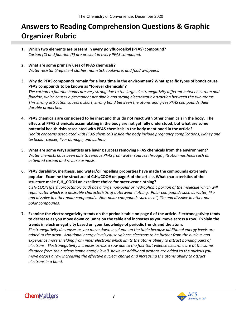# <span id="page-6-0"></span>**Answers to Reading Comprehension Questions & Graphic Organizer Rubric**

- **1. Which two elements are present in every polyfluoroalkyl (PFAS) compound?**  *Carbon (C) and fluorine (F) are present in every PFAS compound.*
- **2. What are some primary uses of PFAS chemicals?** *Water resistant/repellent clothes, non-stick cookware, and food wrappers.*
- **3. Why do PFAS compounds remain for a long time in the environment? What specific types of bonds cause PFAS compounds to be known as "forever chemicals"?** *The carbon to fluorine bonds are very strong due to the large electronegativity different between carbon and fluorine, which causes a permanent net dipole and strong electrostatic attraction between the two atoms. This strong attraction causes a short, strong bond between the atoms and gives PFAS compounds their*

*durable properties.* 

- **4. PFAS chemicals are considered to be inert and thus do not react with other chemicals in the body. The effects of PFAS chemicals accumulating in the body are not yet fully understood, but what are some potential health risks associated with PFAS chemicals in the body mentioned in the article?** *Health concerns associated with PFAS chemicals inside the body include pregnancy complications, kidney and testicular cancer, liver damage, and asthma.*
- **5. What are some ways scientists are having success removing PFAS chemicals from the environment?** *Water chemists have been able to remove PFAS from water sources through filtration methods such as activated carbon and reverse osmosis.*
- **6. PFAS durability, inertness, and water/oil repelling properties have made the compounds extremely popular. Examine the structure of C7H15COOHon page 6 of the article. What characteristics of the structure make C7H15COOH an excellent choice for outerwear clothing?**

*C7H15COOH(perfluorooctanoic acid) has a large non-polar or hydrophobic portion of the molecule which will repel water which is a desirable characteristic of outerwear clothing. Polar compounds such as water, like and dissolve in other polar compounds. Non-polar compounds such as oil, like and dissolve in other nonpolar compounds.* 

**7. Examine the electronegativity trends on the periodic table on page 6 of the article. Electronegativity tends to decrease as you move down columns on the table and increases as you move across a row. Explain the trends in electronegativity based on your knowledge of periodic trends and the atom.** 

*Electronegativity decreases as you move down a column on the table because additional energy levels are added to the atom. Additional energy levels cause valence electrons to be further from the nucleus and experience more shielding from inner electrons which limits the atoms ability to attract bonding pairs of electrons. Electronegativity increases across a row due to the fact that valence electrons are at the same distance from the nucleus (same energy level), however additional protons are added to the nucleus you move across a row increasing the effective nuclear charge and increasing the atoms ability to attract electrons in a bond.* 

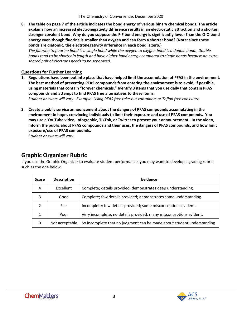**8. The table on page 7 of the article indicates the bond energy of various binary chemical bonds. The article explains how an increased electronegativity difference results in an electrostatic attraction and a shorter, stronger covalent bond. Why do you suppose the F-F bond energy is significantly lower than the O-O bond energy even though fluorine is smaller than oxygen and can form a shorter bond? (Note: since these bonds are diatomic, the electronegativity difference in each bond is zero.)**

*The fluorine to fluorine bond is a single bond while the oxygen to oxygen bond is a double bond. Double bonds tend to be shorter in length and have higher bond energy compared to single bonds because an extra shared pair of electrons needs to be separated.* 

### **Questions for Further Learning**

**1. Regulations have been put into place that have helped limit the accumulation of PFAS in the environment. The best method of preventing PFAS compounds from entering the environment is to avoid, if possible, using materials that contain "forever chemicals." Identify 3 items that you use daily that contain PFAS compounds and attempt to find PFAS free alternatives to these items.** 

*Student answers will vary. Example: Using PFAS free take-out containers or Teflon free cookware.* 

**2. Create a public service announcement about the dangers of PFAS compounds accumulating in the environment in hopes convincing individuals to limit their exposure and use of PFAS compounds. You may use a YouTube video, Infographic, TikTok, or Twitter to present your announcement. In the video, inform the public about PFAS compounds and their uses, the dangers of PFAS compounds, and how limit exposure/use of PFAS compounds.** 

*Student answers will vary.*

### **Graphic Organizer Rubric**

If you use the Graphic Organizer to evaluate student performance, you may want to develop a grading rubric such as the one below.

| <b>Score</b> | <b>Description</b> | Evidence                                                               |
|--------------|--------------------|------------------------------------------------------------------------|
| 4            | Excellent          | Complete; details provided; demonstrates deep understanding.           |
| 3            | Good               | Complete; few details provided; demonstrates some understanding.       |
|              | Fair               | Incomplete; few details provided; some misconceptions evident.         |
|              | Poor               | Very incomplete; no details provided; many misconceptions evident.     |
| 0            | Not acceptable     | So incomplete that no judgment can be made about student understanding |

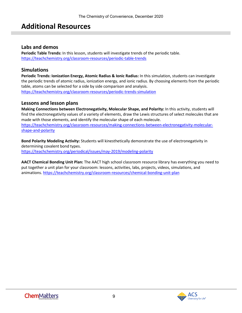# <span id="page-8-0"></span>**Additional Resources**

### **Labs and demos**

**Periodic Table Trends:** In this lesson, students will investigate trends of the periodic table. <https://teachchemistry.org/classroom-resources/periodic-table-trends>

### **Simulations**

**Periodic Trends: Ionization Energy, Atomic Radius & Ionic Radius:** In this simulation, students can investigate the periodic trends of atomic radius, ionization energy, and ionic radius. By choosing elements from the periodic table, atoms can be selected for a side by side comparison and analysis. <https://teachchemistry.org/classroom-resources/periodic-trends-simulation>

### **Lessons and lesson plans**

**Making Connections between Electronegativity, Molecular Shape, and Polarity:** In this activity, students will find the electronegativity values of a variety of elements, draw the Lewis structures of select molecules that are made with those elements, and identify the molecular shape of each molecule. [https://teachchemistry.org/classroom-resources/making-connections-between-electronegativity-molecular](https://teachchemistry.org/classroom-resources/making-connections-between-electronegativity-molecular-shape-and-polarity)[shape-and-polarity](https://teachchemistry.org/classroom-resources/making-connections-between-electronegativity-molecular-shape-and-polarity)

**Bond Polarity Modeling Activity:** Students will kinesthetically demonstrate the use of electronegativity in determining covalent bond types. <https://teachchemistry.org/periodical/issues/may-2019/modeling-polarity>

**AACT Chemical Bonding Unit Plan:** The AACT high school classroom resource library has everything you need to put together a unit plan for your classroom: lessons, activities, labs, projects, videos, simulations, and animations.<https://teachchemistry.org/classroom-resources/chemical-bonding-unit-plan>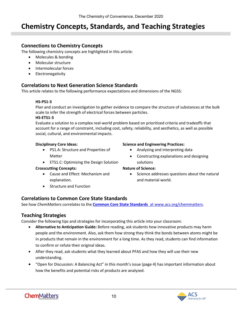# <span id="page-9-0"></span>**Chemistry Concepts, Standards, and Teaching Strategies**

### **Connections to Chemistry Concepts**

The following chemistry concepts are highlighted in this article:

- Molecules & bonding
- Molecular structure
- Intermolecular forces
- Electronegativity

### **Correlations to Next Generation Science Standards**

This article relates to the following performance expectations and dimensions of the NGSS:

### **HS-PS1-3**

Plan and conduct an investigation to gather evidence to compare the structure of substances at the bulk scale to infer the strength of electrical forces between particles.

### **HS-ETS1-3**

Evaluate a solution to a complex real-world problem based on prioritized criteria and tradeoffs that account for a range of constraint, including cost, safety, reliability, and aesthetics, as well as possible social, cultural, and environmental impacts.

### **Disciplinary Core Ideas:**

- PS1.A: Structure and Properties of Matter
- ETS1.C: Optimizing the Design Solution

### **Crosscutting Concepts:**

- Cause and Effect: Mechanism and explanation.
- Structure and Function

### **Science and Engineering Practices:**

- Analyzing and interpreting data
- Constructing explanations and designing solutions

### **Nature of Science:**

• Science addresses questions about the natural and material world.

### **Correlations to Common Core State Standards**

See how *ChemMatters* correlates to the **[Common Core State Standards](https://www.acs.org/content/acs/en/education/resources/highschool/chemmatters/teachers-guide.html)** at www.acs.org/chemmatters.

### **Teaching Strategies**

Consider the following tips and strategies for incorporating this article into your classroom:

- **Alternative to Anticipation Guide:** Before reading, ask students how innovative products may harm people and the environment. Also, ask them how strong they think the bonds between atoms might be in products that remain in the environment for a long time. As they read, students can find information to confirm or refute their original ideas.
- After they read, ask students what they learned about PFAS and how they will use their new understanding.
- "Open for Discussion: A Balancing Act" in this month's issue (page 4) has important information about how the benefits and potential risks of products are analyzed.

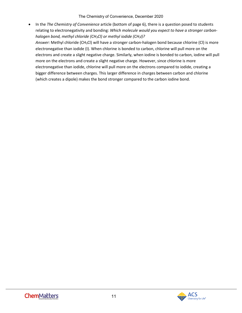• In the *The Chemistry of Convenience* article (bottom of page 6), there is a question posed to students relating to electronegativity and bonding: *Which molecule would you expect to have a stronger carbonhalogen bond, methyl chloride (CH3Cl) or methyl iodide (CH3I)? Answer:* Methyl chloride (CH3Cl) will have a stronger carbon-halogen bond because chlorine (Cl) is more electronegative than iodide (I). When chlorine is bonded to carbon, chlorine will pull more on the electrons and create a slight negative charge. Similarly, when iodine is bonded to carbon, iodine will pull more on the electrons and create a slight negative charge. However, since chlorine is more electronegative than iodide, chlorine will pull more on the electrons compared to iodide, creating a bigger difference between charges. This larger difference in charges between carbon and chlorine (which creates a dipole) makes the bond stronger compared to the carbon iodine bond.

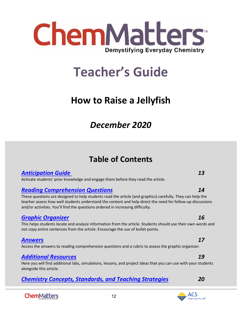

# **Teacher's Guide**

# <span id="page-11-0"></span>**How to Raise a Jellyfish**

# *December 2020*

# **Table of Contents**

### *[Anticipation Guide](#page-12-0) 13*

Activate students' prior knowledge and engage them before they read the article.

### *[Reading Comprehension Questions](#page-12-1) 14*

These questions are designed to help students read the article (and graphics) carefully. They can help the teacher assess how well students understand the content and help direct the need for follow-up discussions and/or activities. You'll find the questions ordered in increasing difficulty.

### *[Graphic Organizer](#page-13-0) 16*

This helps students locate and analyze information from the article. Students should use their own words and not copy entire sentences from the article. Encourage the use of bullet points.

### *[Answers](#page-16-0) 17*

Access the answers to reading comprehension questions and a rubric to assess the graphic organizer.

### *[Additional Resources](#page-18-0) 19*

Here you will find additional labs, simulations, lessons, and project ideas that you can use with your students alongside this article.

12

## *[Chemistry Concepts, Standards, and Teaching Strategies](#page-19-0) 20*

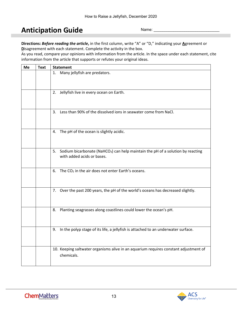# <span id="page-12-0"></span>**Anticipation Guide**

Name:

<span id="page-12-1"></span>**Directions:** *Before reading the article***,** in the first column, write "A" or "D," indicating your **A**greement or **D**isagreement with each statement. Complete the activity in the box.

As you read, compare your opinions with information from the article. In the space under each statement, cite information from the article that supports or refutes your original ideas.

| Me | <b>Text</b> | <b>Statement</b>                                                                                                             |
|----|-------------|------------------------------------------------------------------------------------------------------------------------------|
|    |             | 1. Many jellyfish are predators.                                                                                             |
|    |             | 2. Jellyfish live in every ocean on Earth.                                                                                   |
|    |             | 3. Less than 90% of the dissolved ions in seawater come from NaCl.                                                           |
|    |             | 4. The pH of the ocean is slightly acidic.                                                                                   |
|    |             | 5. Sodium bicarbonate (NaHCO <sub>3</sub> ) can help maintain the pH of a solution by reacting<br>with added acids or bases. |
|    |             | 6. The $CO2$ in the air does not enter Earth's oceans.                                                                       |
|    |             | 7. Over the past 200 years, the pH of the world's oceans has decreased slightly.                                             |
|    |             | 8. Planting seagrasses along coastlines could lower the ocean's pH.                                                          |
|    |             | 9. In the polyp stage of its life, a jellyfish is attached to an underwater surface.                                         |
|    |             | 10. Keeping saltwater organisms alive in an aquarium requires constant adjustment of<br>chemicals.                           |

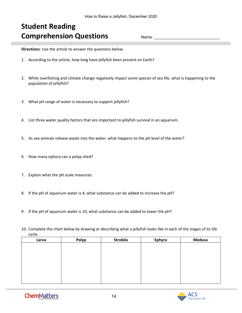# **Student Reading Comprehension Questions**

Name:

<span id="page-13-0"></span>**Directions**: Use the article to answer the questions below.

- 1. According to the article, how long have jellyfish been present on Earth?
- 2. While overfishing and climate change negatively impact some species of sea life, what is happening to the population of jellyfish?
- 3. What pH range of water is necessary to support jellyfish?
- 4. List three water quality factors that are important to jellyfish survival in an aquarium.
- 5. As sea animals release waste into the water, what happens to the pH level of the water?
- 6. How many ephyra can a polyp shed?
- 7. Explain what the pH scale measures.
- 8. If the pH of aquarium water is 4, what substance can be added to increase the pH?
- 9. If the pH of aquarium water is 10, what substance can be added to lower the pH?
- 10. Complete the chart below by drawing or describing what a jellyfish looks like in each of the stages of its life cycle.

| Larva | Polyp | Strobila | Ephyra | <b>Medusa</b> |
|-------|-------|----------|--------|---------------|
|       |       |          |        |               |
|       |       |          |        |               |
|       |       |          |        |               |
|       |       |          |        |               |
|       |       |          |        |               |
|       |       |          |        |               |
|       |       |          |        |               |
|       |       |          |        |               |

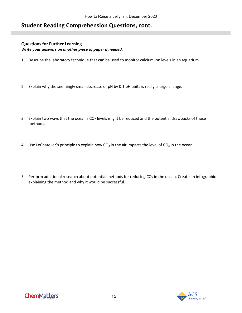### **Student Reading Comprehension Questions, cont.**

### **Questions for Further Learning**

*Write your answers on another piece of paper if needed.*

- 1. Describe the laboratory technique that can be used to monitor calcium ion levels in an aquarium.
- 2. Explain why the seemingly small decrease of pH by 0.1 pH units is really a large change.
- 3. Explain two ways that the ocean's  $CO<sub>2</sub>$  levels might be reduced and the potential drawbacks of those methods.
- 4. Use LeChatelier's principle to explain how  $CO<sub>2</sub>$  in the air impacts the level of  $CO<sub>2</sub>$  in the ocean.
- 5. Perform additional research about potential methods for reducing  $CO<sub>2</sub>$  in the ocean. Create an infographic explaining the method and why it would be successful.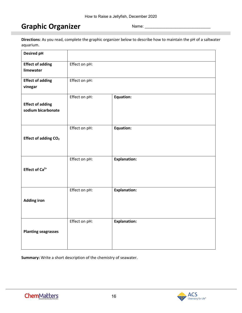# **Graphic Organizer**

Name:

**Directions**: As you read, complete the graphic organizer below to describe how to maintain the pH of a saltwater aquarium.

| <b>Desired pH</b>                             |               |                     |
|-----------------------------------------------|---------------|---------------------|
| <b>Effect of adding</b><br>limewater          | Effect on pH: |                     |
| <b>Effect of adding</b><br>vinegar            | Effect on pH: |                     |
| <b>Effect of adding</b><br>sodium bicarbonate | Effect on pH: | Equation:           |
| Effect of adding CO <sub>2</sub>              | Effect on pH: | <b>Equation:</b>    |
| Effect of Ca <sup>2+</sup>                    | Effect on pH: | <b>Explanation:</b> |
| <b>Adding iron</b>                            | Effect on pH: | <b>Explanation:</b> |
| <b>Planting seagrasses</b>                    | Effect on pH: | <b>Explanation:</b> |

**Summary:** Write a short description of the chemistry of seawater.

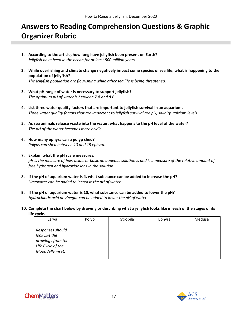# <span id="page-16-0"></span>**Answers to Reading Comprehension Questions & Graphic Organizer Rubric**

- **1. According to the article, how long have jellyfish been present on Earth?** *Jellyfish have been in the ocean for at least 500 million years.*
- **2. While overfishing and climate change negatively impact some species of sea life, what is happening to the population of jellyfish?**

*The jellyfish population are flourishing while other sea life is being threatened.*

- **3. What pH range of water is necessary to support jellyfish?** *The optimum pH of water is between 7.8 and 8.6.*
- **4. List three water quality factors that are important to jellyfish survival in an aquarium.** *Three water quality factors that are important to jellyfish survival are pH, salinity, calcium levels.*
- **5. As sea animals release waste into the water, what happens to the pH level of the water?**  *The pH of the water becomes more acidic.*
- **6. How many ephyra can a polyp shed?** *Polyps can shed between 10 and 15 ephyra.*
- **7. Explain what the pH scale measures.** *pH is the measure of how acidic or basic an aqueous solution is and is a measure of the relative amount of free hydrogen and hydroxide ions in the solution.*
- **8. If the pH of aquarium water is 4, what substance can be added to increase the pH?** *Limewater can be added to increase the pH of water.*
- **9. If the pH of aquarium water is 10, what substance can be added to lower the pH?** *Hydrochloric acid or vinegar can be added to lower the pH of water.*
- **10. Complete the chart below by drawing or describing what a jellyfish looks like in each of the stages of its life cycle.**

| Larva                                                                                            | Polyp | Strobila | Ephyra | Medusa |
|--------------------------------------------------------------------------------------------------|-------|----------|--------|--------|
| Responses should<br>look like the<br>drawings from the<br>Life Cycle of the<br>Moon Jelly inset. |       |          |        |        |



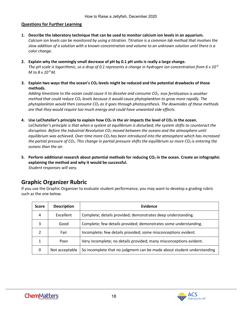### **Questions for Further Learning**

- **1. Describe the laboratory technique that can be used to monitor calcium ion levels in an aquarium.** *Calcium ion levels can be monitored by using a titration. Titration is a common lab method that involves the slow addition of a solution with a known concentration and volume to an unknown solution until there is a color change.*
- **2. Explain why the seemingly small decrease of pH by 0.1 pH units is really a large change.** *The pH scale is logarithmic, so a drop of 0.1 represents a change in hydrogen ion concentration from 6 x 10-9 M to 8 x 10-9 M.*
- **3.** Explain two ways that the ocean's CO<sub>2</sub> levels might be reduced and the potential drawbacks of those **methods.**

*Adding limestone to the ocean could cause it to dissolve and consume CO2. Iron fertilization is another method that could reduce CO<sub>2</sub> levels because it would cause phytoplankton to grow more rapidly. The phytoplankton would then consume CO2 as it goes through photosynthesis. The downsides of these methods are that they would require too much energy and could have unwanted side effects.*

**4. Use LeChatelier's principle to explain how CO2 in the air impacts the level of CO2 in the ocean.**

*LeChatelier's principle is that when a system at equilibrium is disturbed, the system shifts to counteract the disruption. Before the Industrial Revolution CO2 moved between the oceans and the atmosphere until*  equilibrium was achieved. Over time more CO<sub>2</sub> has been introduced into the atmosphere which has increased *the partial pressure of CO<sub>2</sub>. This change in partial pressure shifts the equilibrium so more CO<sub>2</sub> is entering the oceans than the air.*

**5.** Perform additional research about potential methods for reducing CO<sub>2</sub> in the ocean. Create an infographic **explaining the method and why it would be successful.** *Student responses will vary.*

### **Graphic Organizer Rubric**

If you use the Graphic Organizer to evaluate student performance, you may want to develop a grading rubric such as the one below.

| <b>Score</b> | <b>Description</b> | Evidence                                                               |
|--------------|--------------------|------------------------------------------------------------------------|
| 4            | Excellent          | Complete; details provided; demonstrates deep understanding.           |
| 3            | Good               | Complete; few details provided; demonstrates some understanding.       |
|              | Fair               | Incomplete; few details provided; some misconceptions evident.         |
|              | Poor               | Very incomplete; no details provided; many misconceptions evident.     |
| 0            | Not acceptable     | So incomplete that no judgment can be made about student understanding |

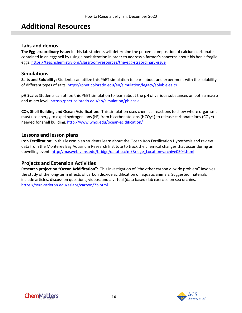# <span id="page-18-0"></span>**Additional Resources**

### **Labs and demos**

**The Egg-straordinary Issue:** In this lab students will determine the percent composition of calcium carbonate contained in an eggshell by using a back titration in order to address a farmer's concerns about his hen's fragile eggs.<https://teachchemistry.org/classroom-resources/the-egg-straordinary-issue>

### **Simulations**

**Salts and Solubility:** Students can utilize this PhET simulation to learn about and experiment with the solubility of different types of salts.<https://phet.colorado.edu/en/simulation/legacy/soluble-salts>

**pH Scale:** Students can utilize this PhET simulation to learn about the pH of various substances on both a macro and micro level[. https://phet.colorado.edu/en/simulation/ph-scale](https://phet.colorado.edu/en/simulation/ph-scale)

**CO2, Shell Building and Ocean Acidification:** This simulation uses chemical reactions to show where organisms must use energy to expel hydrogen ions (H<sup>+</sup>) from bicarbonate ions (HCO<sub>3</sub><sup>2-</sup>) to release carbonate ions (CO<sub>3</sub><sup>-2</sup>) needed for shell building.<http://www.whoi.edu/ocean-acidification/>

### **Lessons and lesson plans**

**Iron Fertilization:** In this lesson plan students learn about the Ocean Iron Fertilization Hypothesis and review data from the Monterey Bay Aquarium Research Institute to track the chemical changes that occur during an upwelling event[. http://masweb.vims.edu/bridge/datatip.cfm?Bridge\\_Location=archive0504.html](http://masweb.vims.edu/bridge/datatip.cfm?Bridge_Location=archive0504.html)

### **Projects and Extension Activities**

**Research project on "Ocean Acidification":** This investigation of "the other carbon dioxide problem" involves the study of the long-term effects of carbon dioxide acidification on aquatic animals. Suggested materials include articles, discussion questions, videos, and a virtual (data based) lab exercise on sea urchins. <https://serc.carleton.edu/eslabs/carbon/7b.html>

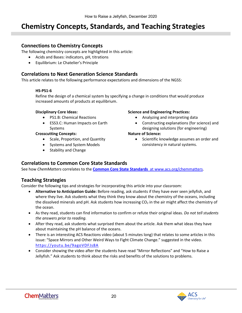# <span id="page-19-0"></span>**Chemistry Concepts, Standards, and Teaching Strategies**

### **Connections to Chemistry Concepts**

The following chemistry concepts are highlighted in this article:

- Acids and Bases: indicators, pH, titrations
- Equilibrium: Le Chatelier's Principle

### **Correlations to Next Generation Science Standards**

This article relates to the following performance expectations and dimensions of the NGSS:

### **HS-PS1-6**

Refine the design of a chemical system by specifying a change in conditions that would produce increased amounts of products at equilibrium.

### **Disciplinary Core Ideas:**

- PS1.B: Chemical Reactions
- ESS3.C: Human Impacts on Earth Systems

### **Crosscutting Concepts:**

- Scale, Proportion, and Quantity
- Systems and System Models
- Stability and Change

### **Science and Engineering Practices:**

- Analyzing and interpreting data
- Constructing explanations (for science) and designing solutions (for engineering)

### **Nature of Science:**

• Scientific knowledge assumes an order and consistency in natural systems.

### **Correlations to Common Core State Standards**

See how *ChemMatters* correlates to the **[Common Core State Standards](https://www.acs.org/content/acs/en/education/resources/highschool/chemmatters/teachers-guide.html)** at www.acs.org/chemmatters.

### **Teaching Strategies**

Consider the following tips and strategies for incorporating this article into your classroom:

- **Alternative to Anticipation Guide:** Before reading, ask students if they have ever seen jellyfish, and where they live. Ask students what they think they know about the chemistry of the oceans, including the dissolved minerals and pH. Ask students how increasing  $CO<sub>2</sub>$  in the air might affect the chemistry of the ocean.
- As they read, students can find information to confirm or refute their original ideas. *Do not tell students the answers prior to reading.*
- After they read, ask students what surprised them about the article. Ask them what ideas they have about maintaining the pH balance of the oceans.
- There is an interesting ACS Reactions video (about 5 minutes long) that relates to some articles in this issue: "Space Mirrors and Other Weird Ways to Fight Climate Change." suggested in the video. <https://youtu.be/9agoVDFJs8A>
- Consider showing the video after the students have read "Mirror Reflections" and "How to Raise a Jellyfish." Ask students to think about the risks and benefits of the solutions to problems.

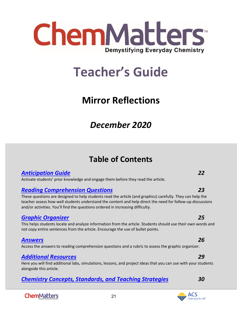

# <span id="page-20-0"></span>**Teacher's Guide**

# **Mirror Reflections**

# *December 2020*

# **Table of Contents**

### *[Anticipation Guide](#page-21-0) 22*

Activate students' prior knowledge and engage them before they read the article.

### *[Reading Comprehension Questions](#page-22-0) 23*

These questions are designed to help students read the article (and graphics) carefully. They can help the teacher assess how well students understand the content and help direct the need for follow-up discussions and/or activities. You'll find the questions ordered in increasing difficulty.

### *[Graphic Organizer](#page-24-0) 25*

This helps students locate and analyze information from the article. Students should use their own words and not copy entire sentences from the article. Encourage the use of bullet points.

### *[Answers](#page-25-0) 26*

Access the answers to reading comprehension questions and a rubric to assess the graphic organizer.

### *[Additional Resources](#page-28-0) 29*

Here you will find additional labs, simulations, lessons, and project ideas that you can use with your students alongside this article.

21

### *[Chemistry Concepts, Standards, and Teaching Strategies](#page-28-1) 30*

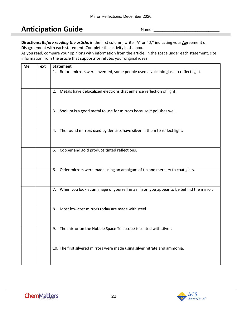# <span id="page-21-0"></span>**Anticipation Guide**

Name:

**Directions:** *Before reading the article***,** in the first column, write "A" or "D," indicating your **A**greement or **D**isagreement with each statement. Complete the activity in the box.

As you read, compare your opinions with information from the article. In the space under each statement, cite information from the article that supports or refutes your original ideas.

| Me | <b>Text</b> | <b>Statement</b>                                                                          |
|----|-------------|-------------------------------------------------------------------------------------------|
|    |             | Before mirrors were invented, some people used a volcanic glass to reflect light.<br>1.   |
|    |             | 2. Metals have delocalized electrons that enhance reflection of light.                    |
|    |             | 3. Sodium is a good metal to use for mirrors because it polishes well.                    |
|    |             | 4. The round mirrors used by dentists have silver in them to reflect light.               |
|    |             | 5. Copper and gold produce tinted reflections.                                            |
|    |             | 6. Older mirrors were made using an amalgam of tin and mercury to coat glass.             |
|    |             | 7. When you look at an image of yourself in a mirror, you appear to be behind the mirror. |
|    |             | Most low-cost mirrors today are made with steel.<br>8.                                    |
|    |             | 9. The mirror on the Hubble Space Telescope is coated with silver.                        |
|    |             | 10. The first silvered mirrors were made using silver nitrate and ammonia.                |

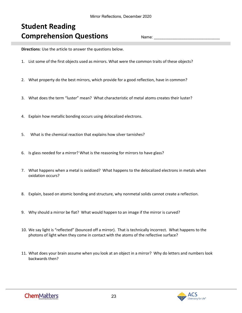# <span id="page-22-0"></span>**Student Reading Comprehension Questions**

Name:

**Directions**: Use the article to answer the questions below.

- 1. List some of the first objects used as mirrors. What were the common traits of these objects?
- 2. What property do the best mirrors, which provide for a good reflection, have in common?
- 3. What does the term "luster" mean? What characteristic of metal atoms creates their luster?
- 4. Explain how metallic bonding occurs using delocalized electrons.
- 5. What is the chemical reaction that explains how silver tarnishes?
- 6. Is glass needed for a mirror? What is the reasoning for mirrors to have glass?
- 7. What happens when a metal is oxidized? What happens to the delocalized electrons in metals when oxidation occurs?
- 8. Explain, based on atomic bonding and structure, why nonmetal solids cannot create a reflection.
- 9. Why should a mirror be flat? What would happen to an image if the mirror is curved?
- 10. We say light is "reflected" (bounced off a mirror). That is technically incorrect. What happens to the photons of light when they come in contact with the atoms of the reflective surface?
- 11. What does your brain assume when you look at an object in a mirror? Why do letters and numbers look backwards then?

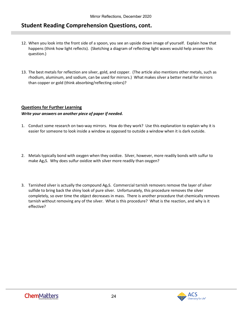### **Student Reading Comprehension Questions, cont.**

- 12. When you look into the front side of a spoon, you see an upside down image of yourself. Explain how that happens (think how light reflects). (Sketching a diagram of reflecting light waves would help answer this question.)
- 13. The best metals for reflection are silver, gold, and copper. (The article also mentions other metals, such as rhodium, aluminum, and sodium, can be used for mirrors.) What makes silver a better metal for mirrors than copper or gold (think absorbing/reflecting colors)?

### **Questions for Further Learning**

### *Write your answers on another piece of paper if needed.*

- 1. Conduct some research on two-way mirrors. How do they work? Use this explanation to explain why it is easier for someone to look inside a window as opposed to outside a window when it is dark outside.
- 2. Metals typically bond with oxygen when they oxidize. Silver, however, more readily bonds with sulfur to make Ag<sub>2</sub>S. Why does sulfur oxidize with silver more readily than oxygen?
- 3. Tarnished silver is actually the compound Ag2S. Commercial tarnish removers remove the layer of silver sulfide to bring back the shiny look of pure silver. Unfortunately, this procedure removes the silver completely, so over time the object decreases in mass. There is another procedure that chemically removes tarnish without removing any of the silver. What is this procedure? What is the reaction, and why is it effective?

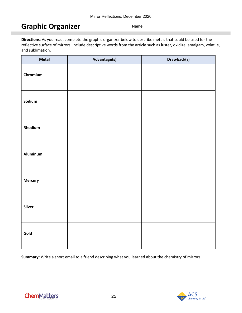# <span id="page-24-0"></span>**Graphic Organizer**

Name:

**Directions**: As you read, complete the graphic organizer below to describe metals that could be used for the reflective surface of mirrors. Include descriptive words from the article such as luster, oxidize, amalgam, volatile, and sublimation.

| Metal          | Advantage(s) | Drawback(s) |
|----------------|--------------|-------------|
| Chromium       |              |             |
| Sodium         |              |             |
| Rhodium        |              |             |
| Aluminum       |              |             |
| <b>Mercury</b> |              |             |
| Silver         |              |             |
| Gold           |              |             |

**Summary:** Write a short email to a friend describing what you learned about the chemistry of mirrors.

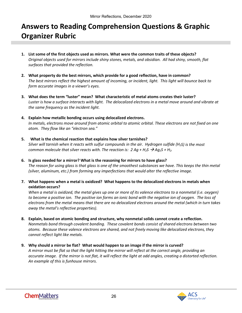# <span id="page-25-0"></span>**Answers to Reading Comprehension Questions & Graphic Organizer Rubric**

- **1. List some of the first objects used as mirrors. What were the common traits of these objects?** *Original objects used for mirrors include shiny stones, metals, and obsidian. All had shiny, smooth, flat surfaces that provided the reflection.*
- **2. What property do the best mirrors, which provide for a good reflection, have in common?** *The best mirrors reflect the highest amount of incoming, or incident, light. This light will bounce back to form accurate images in a viewer's eyes.*
- **3. What does the term "luster" mean? What characteristic of metal atoms creates their luster?** *Luster is how a surface interacts with light. The delocalized electrons in a metal move around and vibrate at the same frequency as the incident light.*
- **4. Explain how metallic bonding occurs using delocalized electrons.** *In metals, electrons move around from atomic orbital to atomic orbital. These electrons are not fixed on one atom. They flow like an "electron sea."*
- **5. What is the chemical reaction that explains how silver tarnishes?** *Silver will tarnish when it reacts with sulfur compounds in the air. Hydrogen sulfide (H2S) is the most common molecule that silver reacts with. The reaction is: 2 Ag + H<sub>2</sub>S*  $\rightarrow$  *Ag<sub>2</sub>S + H<sub>2</sub>.*
- **6. Is glass needed for a mirror? What is the reasoning for mirrors to have glass?** *The reason for using glass is that glass is one of the smoothest substances we have. This keeps the thin metal (silver, aluminum, etc.) from forming any imperfections that would alter the reflective image.*
- **7. What happens when a metal is oxidized? What happens to the delocalized electrons in metals when oxidation occurs?**

*When a metal is oxidized, the metal gives up one or more of its valence electrons to a nonmetal (i.e. oxygen) to become a positive ion. The positive ion forms an ionic bond with the negative ion of oxygen. The loss of electrons from the metal means that there are no delocalized electrons around the metal (which in turn takes away the metal's reflective properties).*

- **8. Explain, based on atomic bonding and structure, why nonmetal solids cannot create a reflection.** *Nonmetals bond through covalent bonding. These covalent bonds consist of shared electrons between two atoms. Because these valence electrons are shared, and not freely moving like delocalized electrons, they cannot reflect light like metals.*
- **9. Why should a mirror be flat? What would happen to an image if the mirror is curved?** *A mirror must be flat so that the light hitting the mirror will reflect at the correct angle, providing an accurate image. If the mirror is not flat, it will reflect the light at odd angles, creating a distorted reflection. An example of this is funhouse mirrors.*

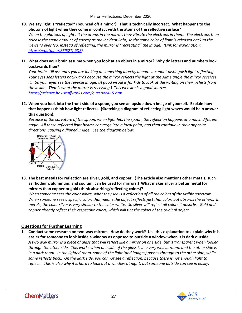**10. We say light is "reflected" (bounced off a mirror). That is technically incorrect. What happens to the photons of light when they come in contact with the atoms of the reflective surface?** 

*When the photons of light hit the atoms in the mirror, they vibrate the electrons in them. The electrons then release the same amount of energy as the incident light, so the same color of light is released back to the viewer's eyes (so, instead of reflecting, the mirror is "recreating" the image). (Link for explanation: [https://youtu.be/iE6I52Th9DE\)](https://youtu.be/iE6I52Th9DE).*

### **11. What does your brain assume when you look at an object in a mirror? Why do letters and numbers look backwards then?**

*Your brain still assumes you are looking at something directly ahead. It cannot distinguish light reflecting. Your eyes sees letters backwards because the mirror reflects the light at the same angle the mirror receives it. So your eyes see the reverse image. (A good visual is for kids to look at the writing on their t-shirts from the inside. That is what the mirror is receiving.) This website is a good source: <https://science.howstuffworks.com/question415.htm>*

**12. When you look into the front side of a spoon, you see an upside down image of yourself. Explain how that happens (think how light reflects). (Sketching a diagram of reflecting light waves would help answer this question).**

*Because of the curvature of the spoon, when light hits the spoon, the reflection happens at a much different angle. All these reflected light beams converge into a focal point, and then continue in their opposite directions, causing a flipped image. See the diagram below:*



**13. The best metals for reflection are silver, gold, and copper. (The article also mentions other metals, such as rhodium, aluminum, and sodium, can be used for mirrors.) What makes silver a better metal for mirrors than copper or gold (think absorbing/reflecting colors)?**

*When someone sees the color white, what they see is a reflection of all the colors of the visible spectrum. When someone sees a specific color, that means the object reflects just that color, but absorbs the others. In metals, the color silver is very similar to the color white. So silver will reflect all colors it absorbs. Gold and copper already reflect their respective colors, which will tint the colors of the original object.*

### **Questions for Further Learning**

**1. Conduct some research on two-way mirrors. How do they work? Use this explanation to explain why it is easier for someone to look inside a window as opposed to outside a window when it is dark outside.** *A two way mirror is a piece of glass that will reflect like a mirror on one side, but is transparent when looked through the other side. This works when one side of the glass is in a very well lit room, and the other side is in a dark room. In the lighted room, some of the light (and images) passes through to the other side, while some reflects back. On the dark side, you cannot see a reflection, because there is not enough light to reflect. This is also why it is hard to look out a window at night, but someone outside can see in easily.*



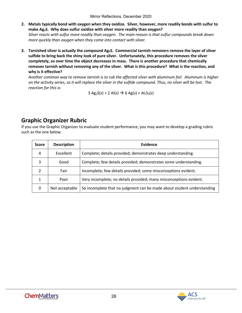- **2. Metals typically bond with oxygen when they oxidize. Silver, however, more readily bonds with sulfur to make Ag2S. Why does sulfur oxidize with silver more readily than oxygen?** *Silver reacts with sulfur more readily than oxygen. The main reason is that sulfur compounds break down more quickly than oxygen when they come into contact with silver.*
- **3. Tarnished silver is actually the compound Ag2S. Commercial tarnish removers remove the layer of silver sulfide to bring back the shiny look of pure silver. Unfortunately, this procedure removes the silver completely, so over time the object decreases in mass. There is another procedure that chemically removes tarnish without removing any of the silver. What is this procedure? What is the reaction, and why is it effective?**

*Another common way to remove tarnish is to rub the affected silver with aluminum foil. Aluminum is higher on the activity series, so it will replace the silver in the sulfide compound. Thus, no silver will be lost. The reaction for this is:* 

 $3 Ag_2S(s) + 2 Al(s) \rightarrow 6 Ag(s) + Al_2S_3(s)$ 

# **Graphic Organizer Rubric**

If you use the Graphic Organizer to evaluate student performance, you may want to develop a grading rubric such as the one below.

| <b>Score</b>   | <b>Description</b> | Evidence                                                               |
|----------------|--------------------|------------------------------------------------------------------------|
| 4              | Excellent          | Complete; details provided; demonstrates deep understanding.           |
| 3              | Good               | Complete; few details provided; demonstrates some understanding.       |
| $\mathfrak{p}$ | Fair               | Incomplete; few details provided; some misconceptions evident.         |
| $\mathbf{1}$   | Poor               | Very incomplete; no details provided; many misconceptions evident.     |
| 0              | Not acceptable     | So incomplete that no judgment can be made about student understanding |

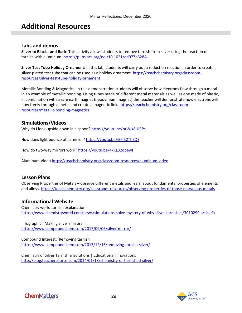# <span id="page-28-0"></span>**Additional Resources**

### <span id="page-28-1"></span>**Labs and demos**

**Silver to Black - and Back:** This activity allows students to remove tarnish from silver using the reaction of tarnish with aluminum[. https://pubs.acs.org/doi/10.1021/ed077p328A](https://pubs.acs.org/doi/10.1021/ed077p328A)

**Silver Test Tube Holiday Ornament:** In this lab, students will carry out a reduction reaction in order to create a silver-plated test tube that can be used as a holiday ornament. [https://teachchemistry.org/classroom](https://teachchemistry.org/classroom-resources/silver-test-tube-holiday-ornament)[resources/silver-test-tube-holiday-ornament](https://teachchemistry.org/classroom-resources/silver-test-tube-holiday-ornament)

Metallic Bonding & Magnetics: In this demonstration students will observe how electrons flow through a metal in an example of metallic bonding. Using tubes made of different metal materials as well as one made of plastic, in combination with a rare earth magnet (neodymium magnet) the teacher will demonstrate how electrons will flow freely through a metal and create a magnetic field. [https://teachchemistry.org/classroom](https://teachchemistry.org/classroom-resources/metallic-bonding-magnetics)[resources/metallic-bonding-magnetics](https://teachchemistry.org/classroom-resources/metallic-bonding-magnetics)

### **Simulations/Videos**

Why do I look upside down in a spoon[? https://youtu.be/prWjk8UlRPs](https://youtu.be/prWjk8UlRPs)

How does light bounce off a mirror[? https://youtu.be/iE6I52Th9DE](https://youtu.be/iE6I52Th9DE)

How do two-way mirrors work?<https://youtu.be/4kKL32opewI>

Aluminum Video<https://teachchemistry.org/classroom-resources/aluminum-video>

### **Lesson Plans**

Observing Properties of Metals – observe different metals and learn about fundamental properties of elements and alloys. <https://teachchemistry.org/classroom-resources/observing-properties-of-those-marvelous-metals>

### **Informational Website**

Chemistry world tarnish explanation <https://www.chemistryworld.com/news/simulations-solve-mystery-of-why-silver-tarnishes/3010299.article#/>

Infographic: Making Silver mirrors <https://www.compoundchem.com/2017/09/06/silver-mirror/>

Compound Interest: Removing tarnish <https://www.compoundchem.com/2013/12/16/removing-tarnish-silver/>

Chemistry of Silver Tarnish & Solutions | Educational Innovations <http://blog.teachersource.com/2014/01/18/chemistry-of-tarnished-silver/>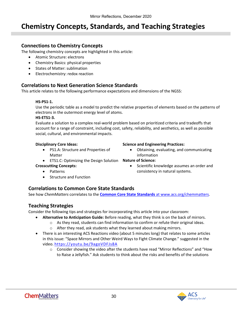# **Chemistry Concepts, Standards, and Teaching Strategies**

### **Connections to Chemistry Concepts**

The following chemistry concepts are highlighted in this article:

- Atomic Structure: electrons
- Chemistry Basics: physical properties
- States of Matter: sublimation
- Electrochemistry: redox reaction

### **Correlations to Next Generation Science Standards**

This article relates to the following performance expectations and dimensions of the NGSS:

### **HS-PS1-1.**

Use the periodic table as a model to predict the relative properties of elements based on the patterns of electrons in the outermost energy level of atoms.

### **HS-ETS1-3.**

Evaluate a solution to a complex real-world problem based on prioritized criteria and tradeoffs that account for a range of constraint, including cost, safety, reliability, and aesthetics, as well as possible social, cultural, and environmental impacts.

### **Disciplinary Core Ideas:**

• PS1.A: Structure and Properties of Matter

### **Science and Engineering Practices:**

- Obtaining, evaluating, and communicating information
- ETS1.C: Optimizing the Design Solution **Nature of Science:**

### **Crosscutting Concepts:**

- Patterns
- Structure and Function

### • Scientific knowledge assumes an order and consistency in natural systems.

**Correlations to Common Core State Standards**

See how *ChemMatters* correlates to the **[Common Core State Standards](https://www.acs.org/content/acs/en/education/resources/highschool/chemmatters/teachers-guide.html)** at www.acs.org/chemmatters.

### **Teaching Strategies**

Consider the following tips and strategies for incorporating this article into your classroom:

- **Alternative to Anticipation Guide:** Before reading, what they think is on the back of mirrors.
	- $\circ$  As they read, students can find information to confirm or refute their original ideas.
	- o After they read, ask students what they learned about making mirrors.
- There is an interesting ACS Reactions video (about 5 minutes long) that relates to some articles in this issue: "Space Mirrors and Other Weird Ways to Fight Climate Change." suggested in the video.<https://youtu.be/9agoVDFJs8A>
	- $\circ$  Consider showing the video after the students have read "Mirror Reflections" and "How to Raise a Jellyfish." Ask students to think about the risks and benefits of the solutions



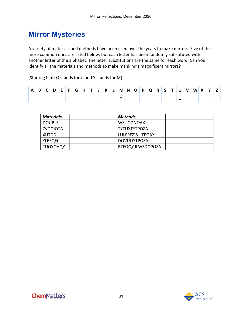# **Mirror Mysteries**

A variety of materials and methods have been used over the years to make mirrors. Five of the more common ones are listed below, but each letter has been randomly substituted with another letter of the alphabet. The letter substitutions are the same for each word. Can you identify all the materials and methods to make mankind's magnificent mirrors?

(Starting hint: Q stands for U and Y stands for M)

| $\mathbf{B}$ | D | .F. | G |  |  | $\mid$ M $\mid$ N $\mid$ | $\overline{O}$ | $\mathsf{P}$ | $^{\circ}$ O $_{\circ}$ | $R$ S <sup>1</sup> |  | v | w |  |  |
|--------------|---|-----|---|--|--|--------------------------|----------------|--------------|-------------------------|--------------------|--|---|---|--|--|
|              |   |     |   |  |  |                          |                |              |                         |                    |  |   |   |  |  |

| <b>Materials</b> | Methods                  |  |
|------------------|--------------------------|--|
| <b>DOUBLE</b>    | <b>WZUODNOAX</b>         |  |
| ZVDOIOTA         | <b>TYTUXTYTPOZA</b>      |  |
| XUTDD            | LULFPEZWUTPOAX           |  |
| <b>YLEFQEC</b>   | <b>DQVUOYTPOZA</b>       |  |
| <b>TUQYOAQY</b>  | <b>BTFQQY ILWZDOPOZA</b> |  |

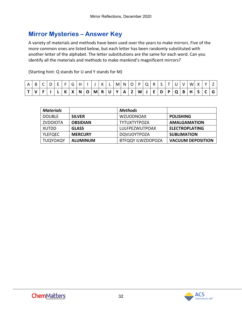# **Mirror Mysteries – Answer Key**

A variety of materials and methods have been used over the years to make mirrors. Five of the more common ones are listed below, but each letter has been randomly substituted with another letter of the alphabet. The letter substitutions are the same for each word. Can you identify all the materials and methods to make mankind's magnificent mirrors?

(Starting hint: Q stands for U and Y stands for M)

| v   F   I   L   K   X   N   O   M   R   U   Y   A   Z   W   J   E   D   P   Q   B   H   S   C   G |  |  |  |  |  |  |  |  |  |  |  |  |
|---------------------------------------------------------------------------------------------------|--|--|--|--|--|--|--|--|--|--|--|--|

| <b>Materials</b> |                 | Methods                  |                          |
|------------------|-----------------|--------------------------|--------------------------|
| <b>DOUBLE</b>    | <b>SILVER</b>   | <b>WZUODNOAX</b>         | <b>POLISHING</b>         |
| <b>ZVDOIOTA</b>  | <b>OBSIDIAN</b> | TYTUXTYTPOZA             | <b>AMALGAMATION</b>      |
| XUTDD            | <b>GLASS</b>    | LULFPEZWUTPOAX           | <b>ELECTROPLATING</b>    |
| <b>YLEFQEC</b>   | <b>MERCURY</b>  | <b>DQVUOYTPOZA</b>       | <b>SUBLIMATION</b>       |
| <b>TUQYOAQY</b>  | <b>ALUMINUM</b> | <b>BTFQQY ILWZDOPOZA</b> | <b>VACUUM DEPOSITION</b> |

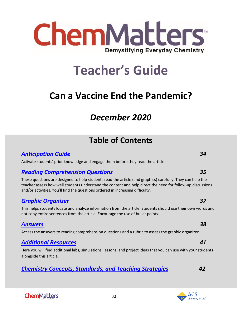# <span id="page-32-0"></span>*December 2020*

# **Table of Contents**

# *[Anticipation Guide 3](#page-33-0)4*

Activate students' prior knowledge and engage them before they read the article.

# *[Reading Comprehension Questions](#page-34-0) 35*

These questions are designed to help students read the article (and graphics) carefully. They can help the teacher assess how well students understand the content and help direct the need for follow-up discussions and/or activities. You'll find the questions ordered in increasing difficulty.

# *[Graphic Organizer](#page-35-0) 37*

This helps students locate and analyze information from the article. Students should use their own words and not copy entire sentences from the article. Encourage the use of bullet points.

## *[Answers](#page-37-0) 38*

Access the answers to reading comprehension questions and a rubric to assess the graphic organizer.

# *[Additional Resources](#page-40-0) 41*

Here you will find additional labs, simulations, lessons, and project ideas that you can use with your students alongside this article.

33

# *[Chemistry Concepts, Standards, and Teaching Strategies](#page-41-0) 42*

### ACS Chemistry for Life®



**Teacher's Guide**

**Can a Vaccine End the Pandemic?**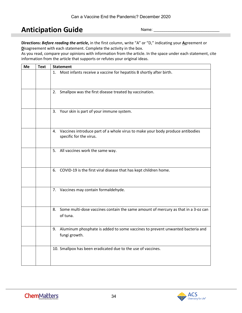# <span id="page-33-0"></span>**Anticipation Guide**

Name:

**Directions:** *Before reading the article***,** in the first column, write "A" or "D," indicating your **A**greement or **D**isagreement with each statement. Complete the activity in the box.

As you read, compare your opinions with information from the article. In the space under each statement, cite information from the article that supports or refutes your original ideas.

| Me | <b>Text</b> | <b>Statement</b>                                                                                            |
|----|-------------|-------------------------------------------------------------------------------------------------------------|
|    |             | 1. Most infants receive a vaccine for hepatitis B shortly after birth.                                      |
|    |             | 2. Smallpox was the first disease treated by vaccination.                                                   |
|    |             | 3. Your skin is part of your immune system.                                                                 |
|    |             | 4. Vaccines introduce part of a whole virus to make your body produce antibodies<br>specific for the virus. |
|    |             | 5. All vaccines work the same way.                                                                          |
|    |             | 6. COVID-19 is the first viral disease that has kept children home.                                         |
|    |             | 7. Vaccines may contain formaldehyde.                                                                       |
|    |             | 8. Some multi-dose vaccines contain the same amount of mercury as that in a 3-oz can<br>of tuna.            |
|    |             | 9. Aluminum phosphate is added to some vaccines to prevent unwanted bacteria and<br>fungi growth.           |
|    |             | 10. Smallpox has been eradicated due to the use of vaccines.                                                |

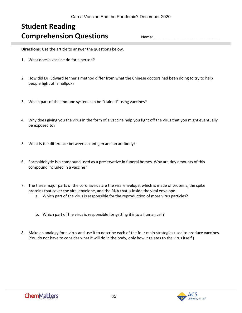# <span id="page-34-0"></span>**Student Reading Comprehension Questions**

Name:

**Directions**: Use the article to answer the questions below.

- 1. What does a vaccine do for a person?
- 2. How did Dr. Edward Jenner's method differ from what the Chinese doctors had been doing to try to help people fight off smallpox?
- 3. Which part of the immune system can be "trained" using vaccines?
- 4. Why does giving you the virus in the form of a vaccine help you fight off the virus that you might eventually be exposed to?
- 5. What is the difference between an antigen and an antibody?
- 6. Formaldehyde is a compound used as a preservative in funeral homes. Why are tiny amounts of this compound included in a vaccine?
- 7. The three major parts of the coronavirus are the viral envelope, which is made of proteins, the spike proteins that cover the viral envelope, and the RNA that is inside the viral envelope.
	- a. Which part of the virus is responsible for the reproduction of more virus particles?
	- b. Which part of the virus is responsible for getting it into a human cell?
- 8. Make an analogy for a virus and use it to describe each of the four main strategies used to produce vaccines. (You do not have to consider what it will do in the body, only how it relates to the virus itself.)



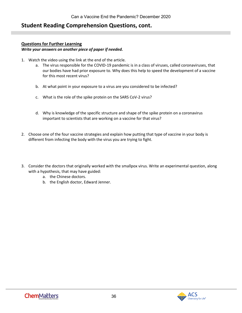### **Student Reading Comprehension Questions, cont.**

### **Questions for Further Learning**

### *Write your answers on another piece of paper if needed.*

- 1. Watch the video using the link at the end of the article.
	- a. The virus responsible for the COVID-19 pandemic is in a class of viruses, called coronaviruses, that our bodies have had prior exposure to. Why does this help to speed the development of a vaccine for this most recent virus?
	- b. At what point in your exposure to a virus are you considered to be infected?
	- c. What is the role of the spike protein on the SARS CoV-2 virus?
	- d. Why is knowledge of the specific structure and shape of the spike protein on a coronavirus important to scientists that are working on a vaccine for that virus?
- 2. Choose one of the four vaccine strategies and explain how putting that type of vaccine in your body is different from infecting the body with the virus you are trying to fight.
- <span id="page-35-0"></span>3. Consider the doctors that originally worked with the smallpox virus. Write an experimental question, along with a hypothesis, that may have guided:
	- a. the Chinese doctors.
	- b. the English doctor, Edward Jenner.

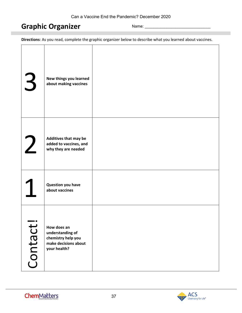# **Graphic Organizer**

Name:

**Directions**: As you read, complete the graphic organizer below to describe what you learned about vaccines.

| 3                                   | New things you learned<br>about making vaccines                                               |  |
|-------------------------------------|-----------------------------------------------------------------------------------------------|--|
| $\overline{2}$                      | Additives that may be<br>added to vaccines, and<br>why they are needed                        |  |
|                                     | <b>Question you have</b><br>about vaccines                                                    |  |
| $\hspace{0.1in} \bullet$<br>Contact | How does an<br>understanding of<br>chemistry help you<br>make decisions about<br>your health? |  |

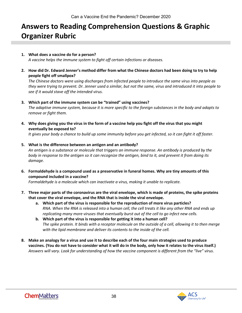# <span id="page-37-0"></span>**Answers to Reading Comprehension Questions & Graphic Organizer Rubric**

### **1. What does a vaccine do for a person?**

*A vaccine helps the immune system to fight off certain infections or diseases.*

**2. How did Dr. Edward Jenner's method differ from what the Chinese doctors had been doing to try to help people fight off smallpox?**

*The Chinese doctors were using discharges from infected people to introduce the same virus into people as they were trying to prevent. Dr. Jenner used a similar, but not the same, virus and introduced it into people to see if it would stave off the intended virus.* 

### **3. Which part of the immune system can be "trained" using vaccines?**

*The adaptive immune system, because it is more specific to the foreign substances in the body and adapts to remove or fight them.*

**4. Why does giving you the virus in the form of a vaccine help you fight off the virus that you might eventually be exposed to?**

*It gives your body a chance to build up some immunity before you get infected, so it can fight it off faster.*

**5. What is the difference between an antigen and an antibody?**

*An antigen is a substance or molecule that triggers an immune response. An antibody is produced by the body in response to the antigen so it can recognize the antigen, bind to it, and prevent it from doing its damage.*

**6. Formaldehyde is a compound used as a preservative in funeral homes. Why are tiny amounts of this compound included in a vaccine?**

*Formaldehyde is a molecule which can inactivate a virus, making it unable to replicate.*

- **7. Three major parts of the coronavirus are the viral envelope, which is made of proteins, the spike proteins that cover the viral envelope, and the RNA that is inside the viral envelope.**
	- **a. Which part of the virus is responsible for the reproduction of more virus particles?** *RNA. When the RNA is released into a human cell, the cell treats it like any other RNA and ends up replicating many more viruses that eventually burst out of the cell to go infect new cells.*
	- **b. Which part of the virus is responsible for getting it into a human cell?** *The spike protein. It binds with a receptor molecule on the outside of a cell, allowing it to then merge with the lipid membrane and deliver its contents to the inside of the cell.*
- **8. Make an analogy for a virus and use it to describe each of the four main strategies used to produce vaccines. (You do not have to consider what it will do in the body, only how it relates to the virus itself.)** *Answers will vary. Look for understanding of how the vaccine component is different from the "live" virus.*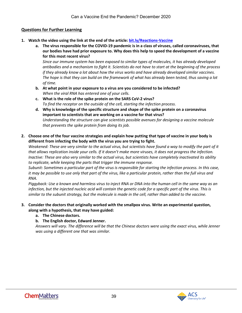### **Questions for Further Learning**

- **1. Watch the video using the link at the end of the article: [bit.ly/Reactions-Vaccine](https://www.acs.org/content/acs/en/pressroom/reactions/videos/2020/coronavirus-vaccine-where-are-we-and-whats-next.html)**
	- **a. The virus responsible for the COVID-19 pandemic is in a class of viruses, called coronaviruses, that our bodies have had prior exposure to. Why does this help to speed the development of a vaccine for this most recent virus?**

*Since our immune system has been exposed to similar types of molecules, it has already developed antibodies and a mechanism to fight it. Scientists do not have to start at the beginning of the process if they already know a lot about how the virus works and have already developed similar vaccines. The hope is that they can build on the framework of what has already been tested, thus saving a lot of time.*

- **b. At what point in your exposure to a virus are you considered to be infected?** *When the viral RNA has entered one of your cells.*
- **c. What is the role of the spike protein on the SARS CoV-2 virus?** *To find the receptor on the outside of the cell, starting the infection process.*
- **d. Why is knowledge of the specific structure and shape of the spike protein on a coronavirus important to scientists that are working on a vaccine for that virus?** *Understanding the structure can give scientists possible avenues for designing a vaccine molecule that prevents the spike protein from doing its job.*
- **2. Choose one of the four vaccine strategies and explain how putting that type of vaccine in your body is different from infecting the body with the virus you are trying to fight.**

*Weakened: These are very similar to the actual virus, but scientists have found a way to modify the part of it that allows replication inside your cells. If it doesn't make more viruses, it does not progress the infection. Inactive: These are also very similar to the actual virus, but scientists have completely inactivated its ability to replicate, while keeping the parts that trigger the immune response.*

*Subunit: Sometimes a particular part of the virus is responsible for starting the infection process. In this case, it may be possible to use only that part of the virus, like a particular protein, rather than the full virus and RNA.*

*Piggyback: Use a known and harmless virus to inject RNA or DNA into the human cell in the same way as an infection, but the injected nucleic acid will contain the genetic code for a specific part of the virus. This is similar to the subunit strategy, but the molecule is made in the cell, rather than added to the vaccine.*

### **3. Consider the doctors that originally worked with the smallpox virus. Write an experimental question, along with a hypothesis, that may have guided:**

- **a. The Chinese doctors.**
- **b. The English doctor, Edward Jenner.**

*Answers will vary. The difference will be that the Chinese doctors were using the exact virus, while Jenner was using a different one that was similar.*

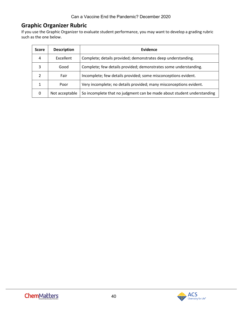### **Graphic Organizer Rubric**

If you use the Graphic Organizer to evaluate student performance, you may want to develop a grading rubric such as the one below.

| <b>Score</b> | <b>Description</b> | Evidence                                                               |
|--------------|--------------------|------------------------------------------------------------------------|
| 4            | Excellent          | Complete; details provided; demonstrates deep understanding.           |
| 3            | Good               | Complete; few details provided; demonstrates some understanding.       |
|              | Fair               | Incomplete; few details provided; some misconceptions evident.         |
|              | Poor               | Very incomplete; no details provided; many misconceptions evident.     |
| 0            | Not acceptable     | So incomplete that no judgment can be made about student understanding |

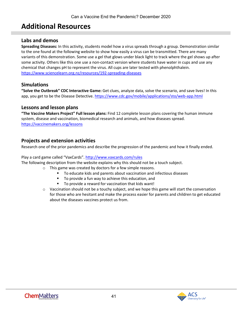# <span id="page-40-0"></span>**Additional Resources**

### **Labs and demos**

**Spreading Diseases:** In this activity, students model how a virus spreads through a group. Demonstration similar to the one found at the following website to show how easily a virus can be transmitted. There are many variants of this demonstration. Some use a gel that glows under black light to track where the gel shows up after some activity. Others like this one use a non-contact version where students have water in cups and use any chemical that changes pH to represent the virus. All cups are later tested with phenolphthalein. <https://www.sciencelearn.org.nz/resources/192-spreading-diseases>

### **Simulations**

**"Solve the Outbreak" CDC Interactive Game:** Get clues, analyze data, solve the scenario, and save lives! In this app, you get to be the Disease Detective. <https://www.cdc.gov/mobile/applications/sto/web-app.html>

### **Lessons and lesson plans**

**"The Vaccine Makers Project" Full lesson plans:** Find 12 complete lesson plans covering the human immune system, disease and vaccination, biomedical research and animals, and how diseases spread. <https://vaccinemakers.org/lessons>

### **Projects and extension activities**

Research one of the prior pandemics and describe the progression of the pandemic and how it finally ended.

### Play a card game called "VaxCards"[. http://www.vaxcards.com/rules](http://www.vaxcards.com/rules)

The following description from the website explains why this should not be a touch subject.

- o This game was created by doctors for a few simple reasons.
	- To educate kids and parents about vaccination and infectious diseases
	- To provide a fun way to achieve this education, and
	- **To provide a reward for vaccination that kids want!**
- $\circ$  Vaccination should not be a touchy subject, and we hope this game will start the conversation for those who are hesitant and make the process easier for parents and children to get educated about the diseases vaccines protect us from.

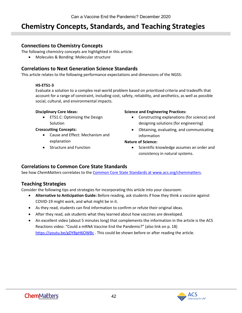# <span id="page-41-0"></span>**Chemistry Concepts, Standards, and Teaching Strategies**

### **Connections to Chemistry Concepts**

The following chemistry concepts are highlighted in this article:

• Molecules & Bonding: Molecular structure

### **Correlations to Next Generation Science Standards**

This article relates to the following performance expectations and dimensions of the NGSS:

### **HS-ETS1-3**

Evaluate a solution to a complex real-world problem based on prioritized criteria and tradeoffs that account for a range of constraint, including cost, safety, reliability, and aesthetics, as well as possible social, cultural, and environmental impacts.

### **Disciplinary Core Ideas:**

• ETS1.C: Optimizing the Design Solution

### **Crosscutting Concepts:**

- Cause and Effect: Mechanism and explanation
- Structure and Function

### **Science and Engineering Practices:**

- Constructing explanations (for science) and designing solutions (for engineering)
- Obtaining, evaluating, and communicating information

### **Nature of Science:**

• Scientific knowledge assumes an order and consistency in natural systems.

### **Correlations to Common Core State Standards**

See how *ChemMatters* correlates to the [Common Core State Standards](https://www.acs.org/content/acs/en/education/resources/highschool/chemmatters/teachers-guide.html) at www.acs.org/chemmatters.

### **Teaching Strategies**

Consider the following tips and strategies for incorporating this article into your classroom:

- **Alternative to Anticipation Guide:** Before reading, ask students if how they think a vaccine against COVID-19 might work, and what might be in it.
- As they read, students can find information to confirm or refute their original ideas.
- After they read, ask students what they learned about how vaccines are developed.
- An excellent video (about 5 minutes long) that complements the information in the article is the ACS Reactions video: "Could a mRNA Vaccine End the Pandemic?" (also link on p. 18) <https://youtu.be/gDY8pH6OWBc>. This could be shown before or after reading the article.